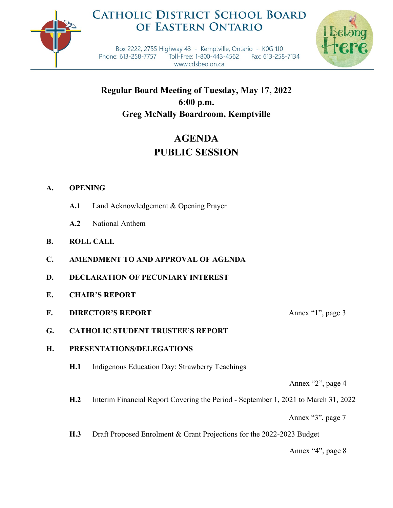

## **CATHOLIC DISTRICT SCHOOL BOARD** OF EASTERN ONTARIO



Box 2222, 2755 Highway 43 - Kemptville, Ontario - K0G 1J0 Phone: 613-258-7757 Toll-Free: 1-800-443-4562 Fax: 613-258-7134 www.cdsbeo.on.ca

**Regular Board Meeting of Tuesday, May 17, 2022 6:00 p.m. Greg McNally Boardroom, Kemptville**

# **AGENDA PUBLIC SESSION**

## **A. OPENING**

- **A.1** Land Acknowledgement & Opening Prayer
- **A.2** National Anthem
- **B. ROLL CALL**
- **C. AMENDMENT TO AND APPROVAL OF AGENDA**
- **D. DECLARATION OF PECUNIARY INTEREST**
- **E. CHAIR'S REPORT**
- **F. DIRECTOR'S REPORT** Annex "1", page 3

**G. CATHOLIC STUDENT TRUSTEE'S REPORT**

### **H. PRESENTATIONS/DELEGATIONS**

**H.1** Indigenous Education Day: Strawberry Teachings

Annex "2", page 4

**H.2** Interim Financial Report Covering the Period - September 1, 2021 to March 31, 2022

Annex "3", page 7

**H.3** Draft Proposed Enrolment & Grant Projections for the 2022-2023 Budget

Annex "4", page 8